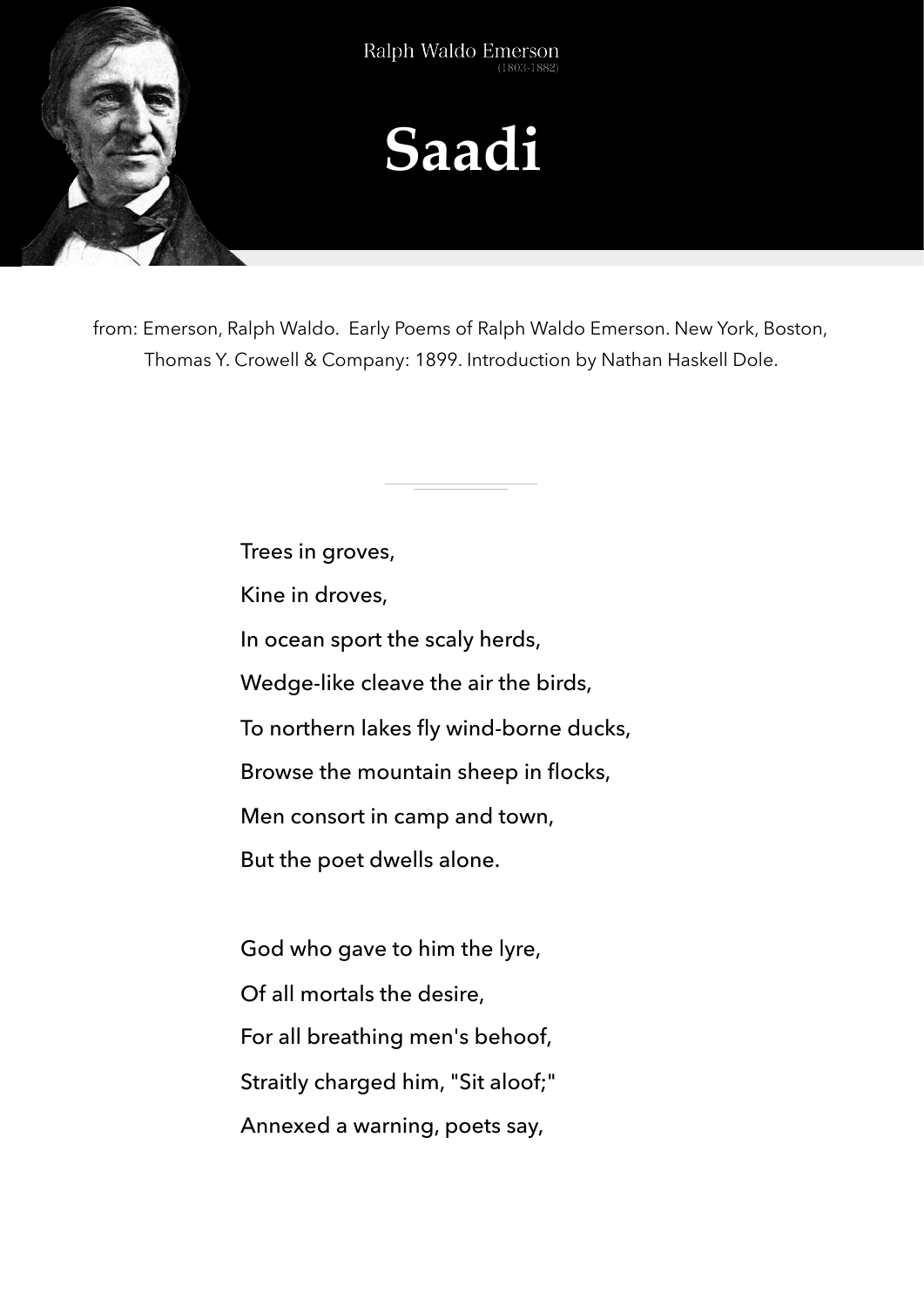

from: Emerson, Ralph Waldo. Early Poems of Ralph Waldo Emerson. New York, Boston, Thomas Y. Crowell & Company: 1899. Introduction by Nathan Haskell Dole.

> Trees in groves, Kine in droves, In ocean sport the scaly herds, Wedge-like cleave the air the birds, To northern lakes fly wind-borne ducks, Browse the mountain sheep in flocks, Men consort in camp and town, But the poet dwells alone. God who gave to him the lyre, Of all mortals the desire, For all breathing men's behoof, Straitly charged him, "Sit aloof;" Annexed a warning, poets say,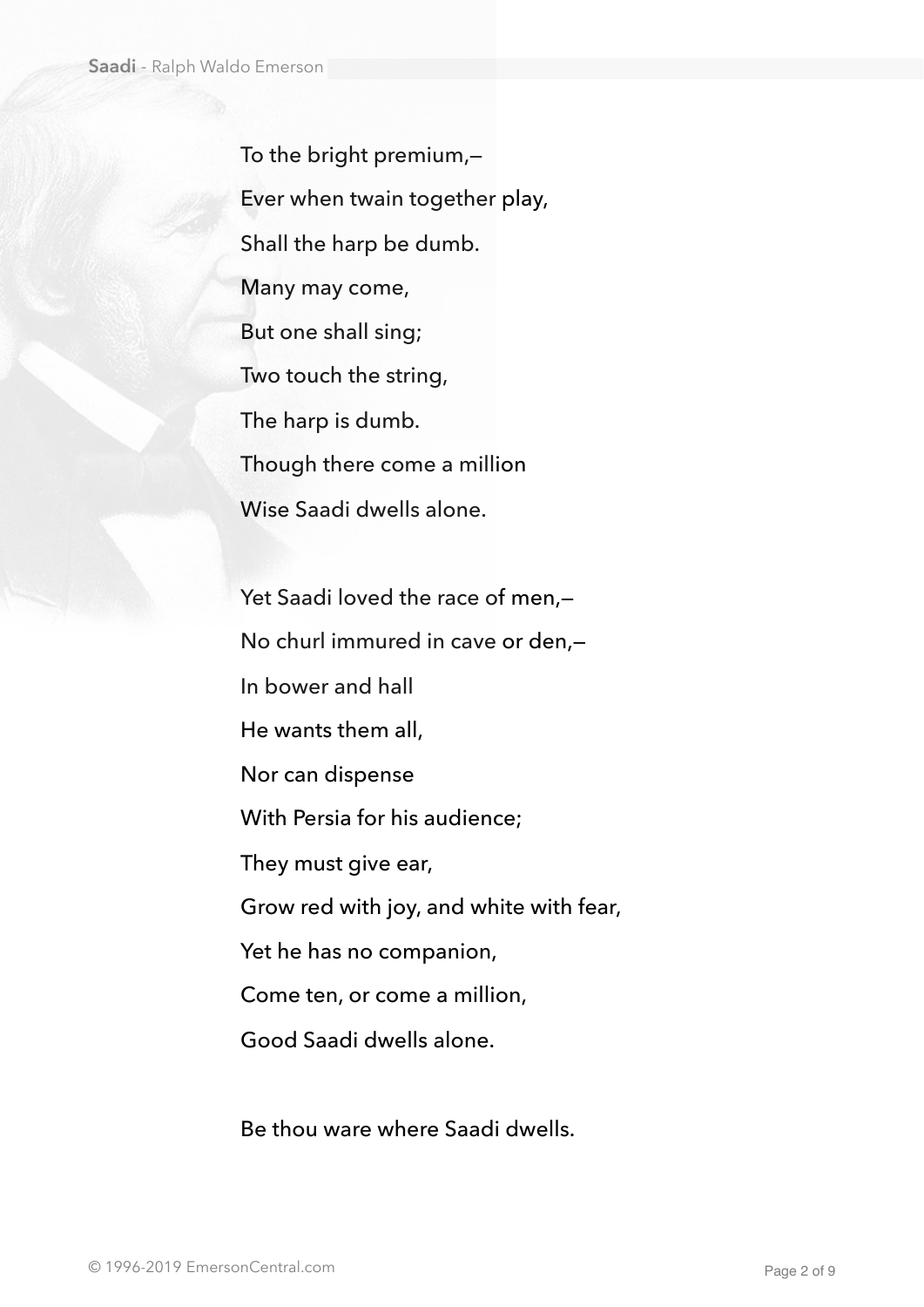To the bright premium,— Ever when twain together play, Shall the harp be dumb. Many may come, But one shall sing; Two touch the string, The harp is dumb. Though there come a million Wise Saadi dwells alone.

Yet Saadi loved the race of men,-No churl immured in cave or den,— In bower and hall He wants them all, Nor can dispense With Persia for his audience; They must give ear, Grow red with joy, and white with fear, Yet he has no companion, Come ten, or come a million, Good Saadi dwells alone.

Be thou ware where Saadi dwells.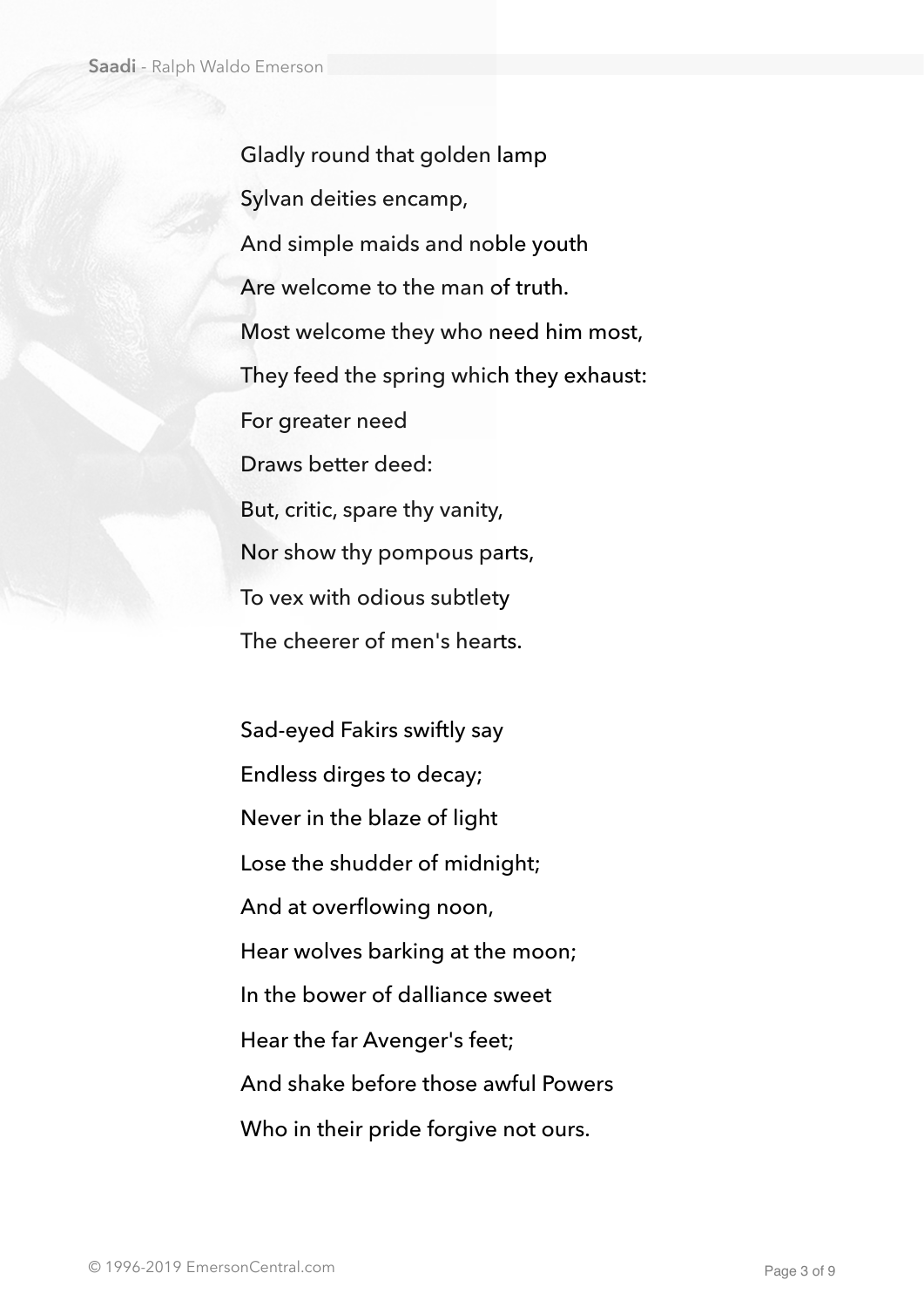Gladly round that golden lamp Sylvan deities encamp, And simple maids and noble youth Are welcome to the man of truth. Most welcome they who need him most, They feed the spring which they exhaust: For greater need Draws better deed: But, critic, spare thy vanity, Nor show thy pompous parts, To vex with odious subtlety The cheerer of men's hearts.

Sad-eyed Fakirs swiftly say Endless dirges to decay; Never in the blaze of light Lose the shudder of midnight; And at overflowing noon, Hear wolves barking at the moon; In the bower of dalliance sweet Hear the far Avenger's feet; And shake before those awful Powers Who in their pride forgive not ours.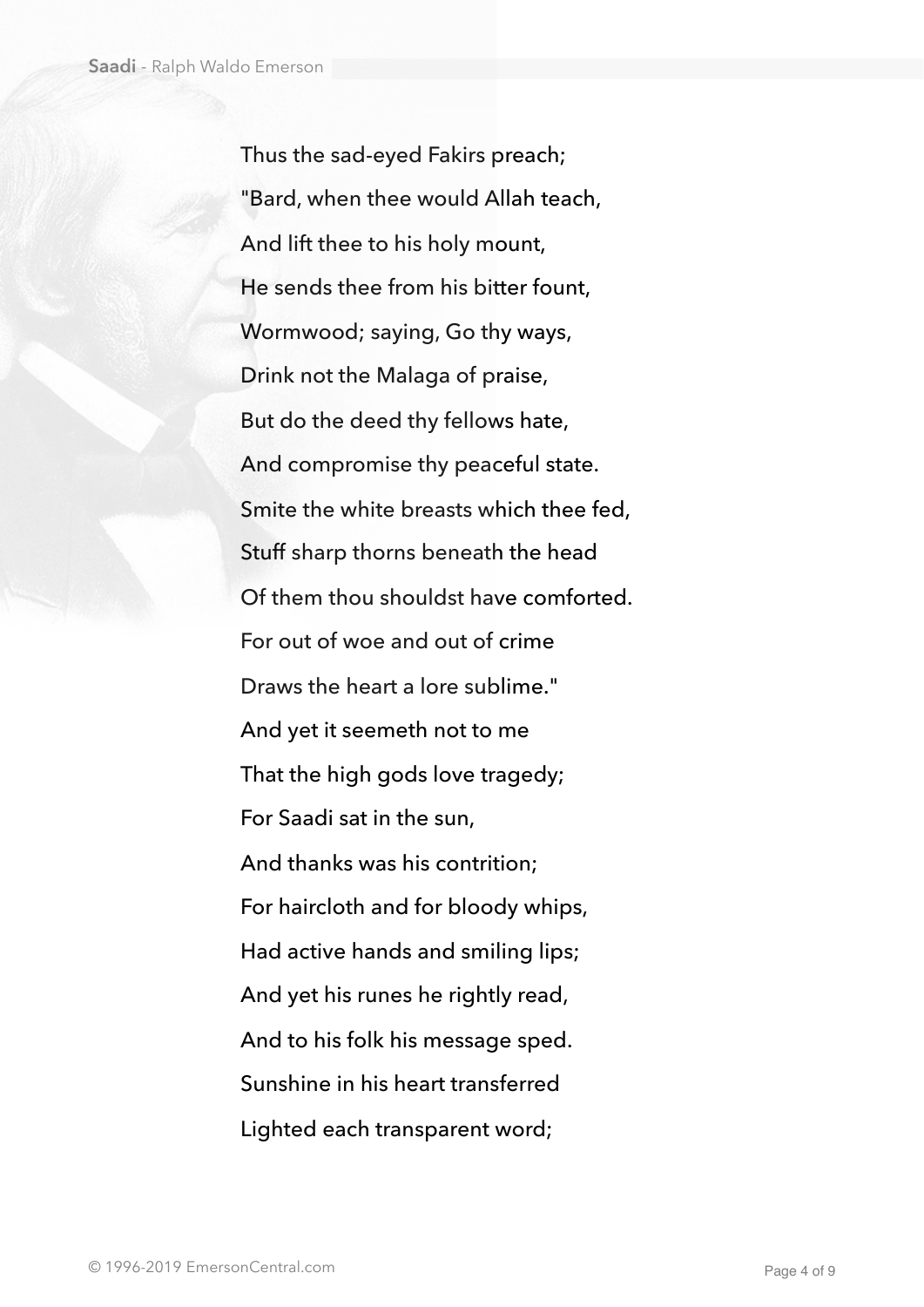Thus the sad-eyed Fakirs preach; "Bard, when thee would Allah teach, And lift thee to his holy mount, He sends thee from his bitter fount, Wormwood; saying, Go thy ways, Drink not the Malaga of praise, But do the deed thy fellows hate, And compromise thy peaceful state. Smite the white breasts which thee fed, Stuff sharp thorns beneath the head Of them thou shouldst have comforted. For out of woe and out of crime Draws the heart a lore sublime." And yet it seemeth not to me That the high gods love tragedy; For Saadi sat in the sun, And thanks was his contrition; For haircloth and for bloody whips, Had active hands and smiling lips; And yet his runes he rightly read, And to his folk his message sped. Sunshine in his heart transferred Lighted each transparent word;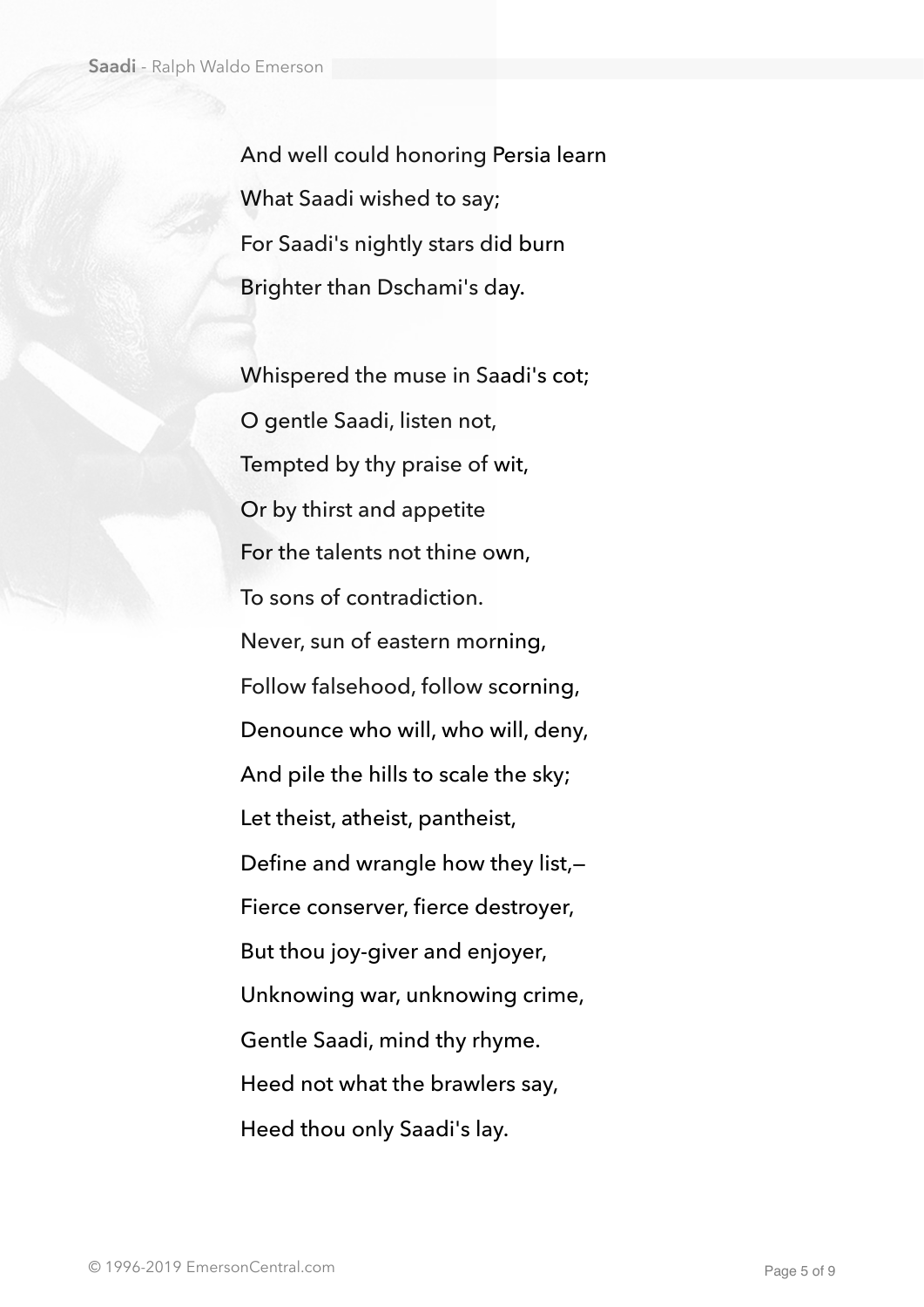And well could honoring Persia learn What Saadi wished to say; For Saadi's nightly stars did burn Brighter than Dschami's day.

Whispered the muse in Saadi's cot; O gentle Saadi, listen not, Tempted by thy praise of wit, Or by thirst and appetite For the talents not thine own, To sons of contradiction. Never, sun of eastern morning, Follow falsehood, follow scorning, Denounce who will, who will, deny, And pile the hills to scale the sky; Let theist, atheist, pantheist, Define and wrangle how they list,— Fierce conserver, fierce destroyer, But thou joy-giver and enjoyer, Unknowing war, unknowing crime, Gentle Saadi, mind thy rhyme. Heed not what the brawlers say, Heed thou only Saadi's lay.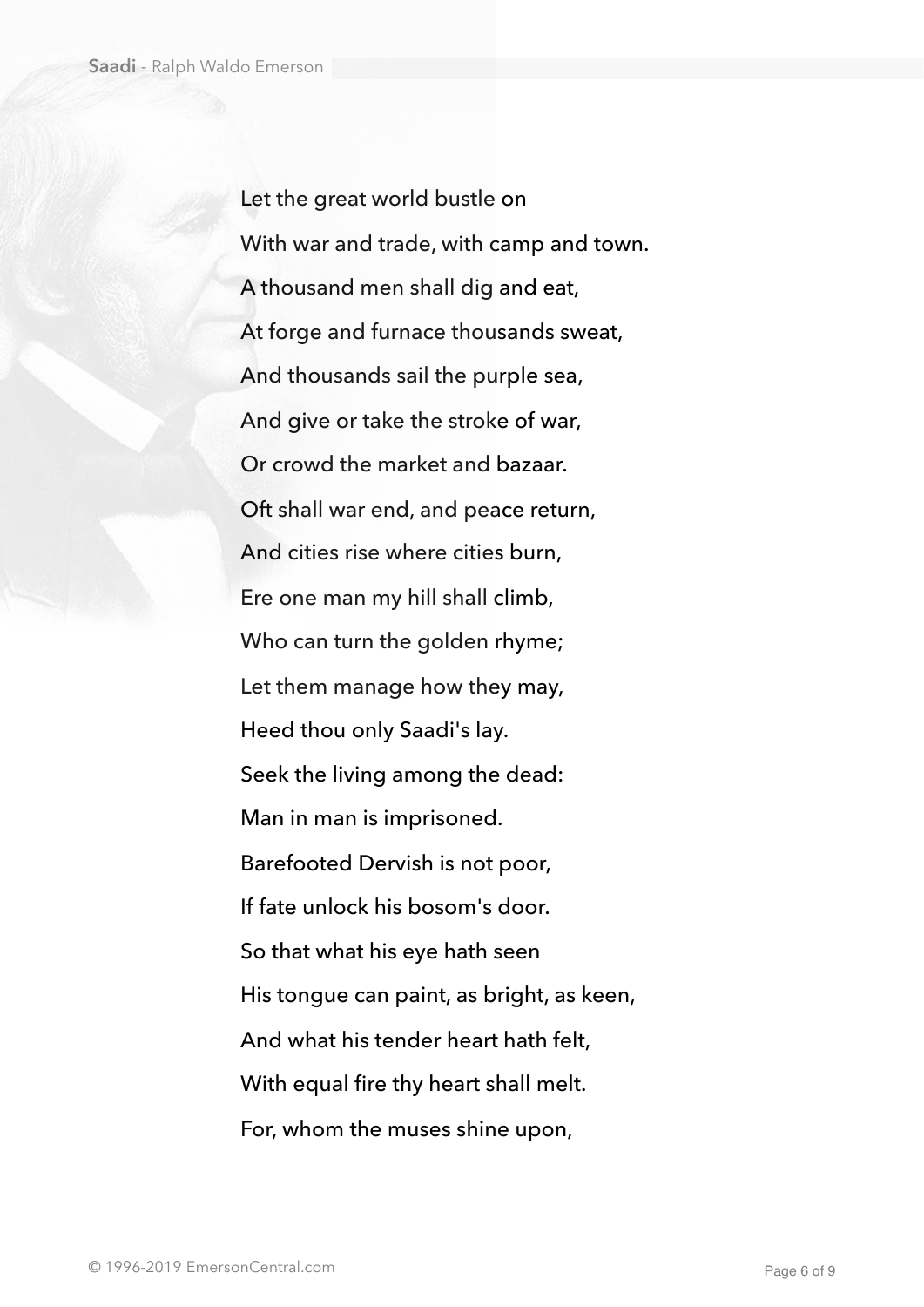Let the great world bustle on With war and trade, with camp and town. A thousand men shall dig and eat, At forge and furnace thousands sweat, And thousands sail the purple sea, And give or take the stroke of war, Or crowd the market and bazaar. Oft shall war end, and peace return, And cities rise where cities burn, Ere one man my hill shall climb, Who can turn the golden rhyme; Let them manage how they may, Heed thou only Saadi's lay. Seek the living among the dead: Man in man is imprisoned. Barefooted Dervish is not poor, If fate unlock his bosom's door. So that what his eye hath seen His tongue can paint, as bright, as keen, And what his tender heart hath felt, With equal fire thy heart shall melt. For, whom the muses shine upon,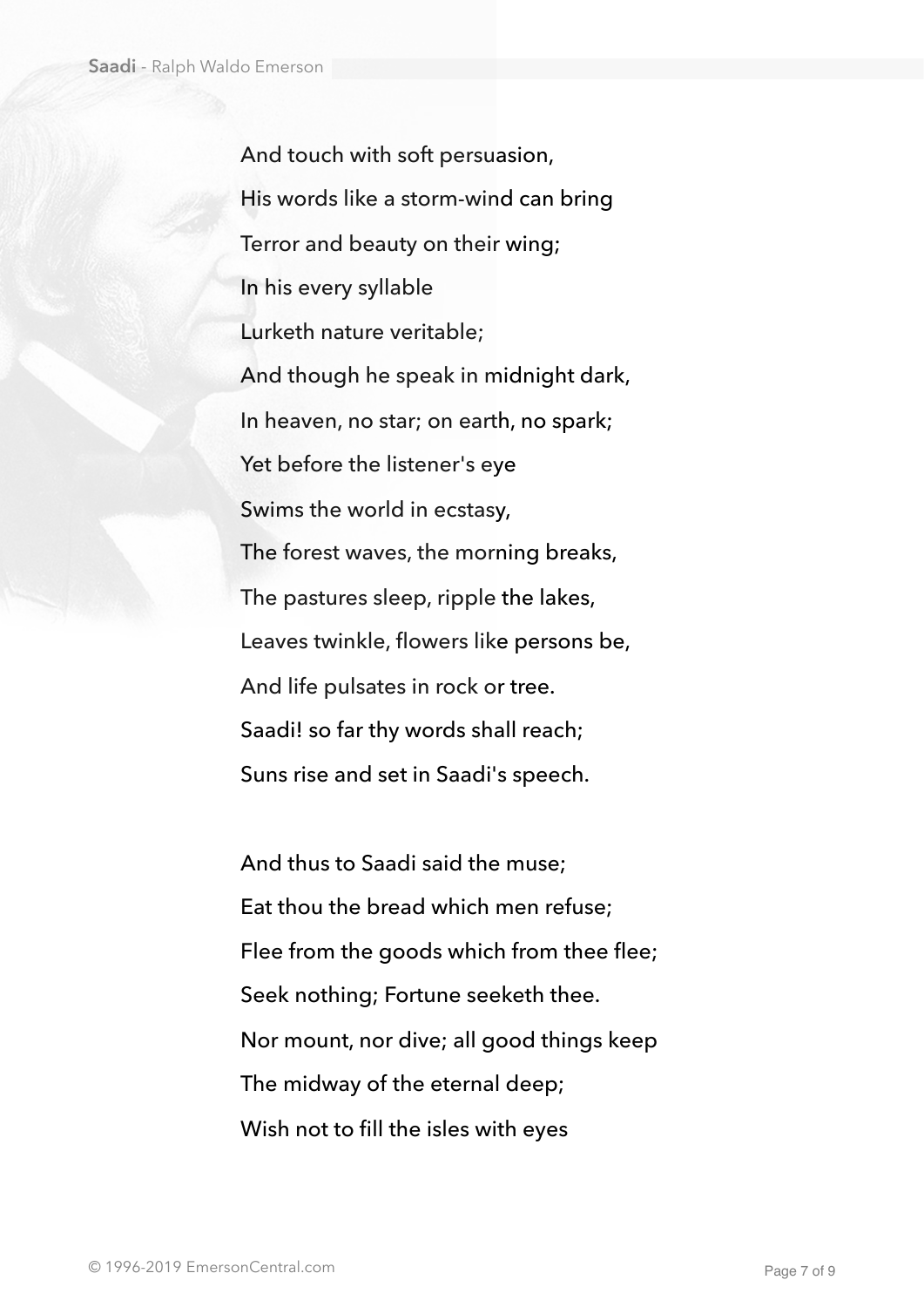And touch with soft persuasion, His words like a storm-wind can bring Terror and beauty on their wing; In his every syllable Lurketh nature veritable; And though he speak in midnight dark, In heaven, no star; on earth, no spark; Yet before the listener's eye Swims the world in ecstasy, The forest waves, the morning breaks, The pastures sleep, ripple the lakes, Leaves twinkle, flowers like persons be, And life pulsates in rock or tree. Saadi! so far thy words shall reach; Suns rise and set in Saadi's speech.

And thus to Saadi said the muse; Eat thou the bread which men refuse; Flee from the goods which from thee flee; Seek nothing; Fortune seeketh thee. Nor mount, nor dive; all good things keep The midway of the eternal deep; Wish not to fill the isles with eyes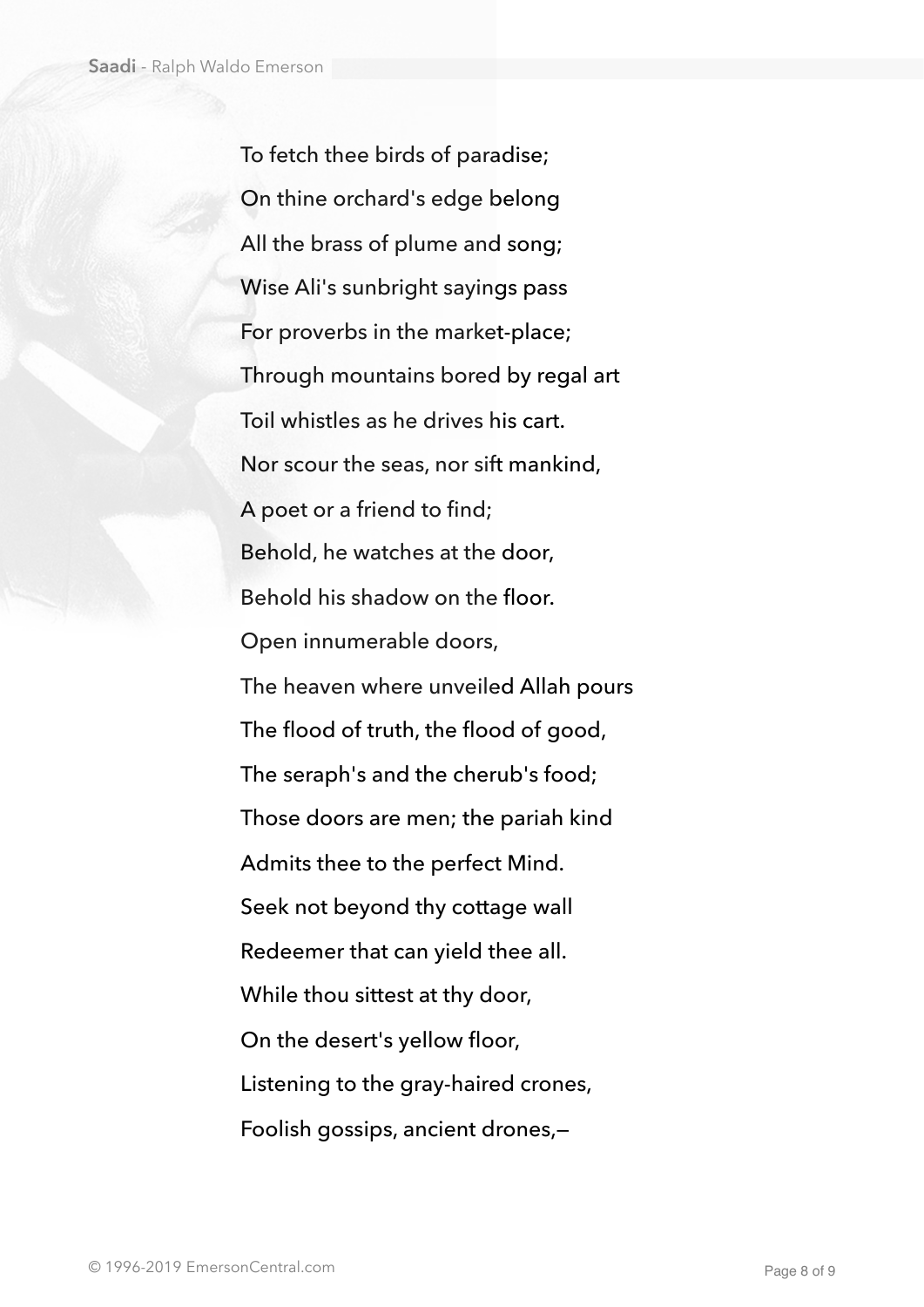To fetch thee birds of paradise; On thine orchard's edge belong All the brass of plume and song; Wise Ali's sunbright sayings pass For proverbs in the market-place; Through mountains bored by regal art Toil whistles as he drives his cart. Nor scour the seas, nor sift mankind, A poet or a friend to find; Behold, he watches at the door, Behold his shadow on the floor. Open innumerable doors, The heaven where unveiled Allah pours The flood of truth, the flood of good, The seraph's and the cherub's food; Those doors are men; the pariah kind Admits thee to the perfect Mind. Seek not beyond thy cottage wall Redeemer that can yield thee all. While thou sittest at thy door, On the desert's yellow floor, Listening to the gray-haired crones, Foolish gossips, ancient drones,—